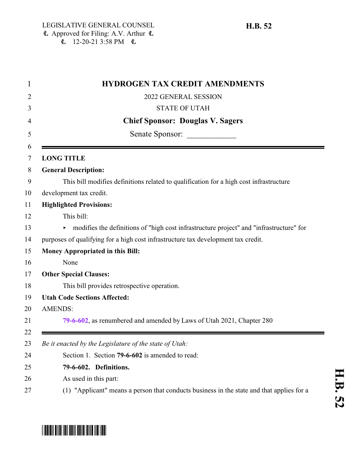| <b>HYDROGEN TAX CREDIT AMENDMENTS</b>                                                     |
|-------------------------------------------------------------------------------------------|
| 2022 GENERAL SESSION                                                                      |
| <b>STATE OF UTAH</b>                                                                      |
| <b>Chief Sponsor: Douglas V. Sagers</b>                                                   |
| Senate Sponsor:                                                                           |
| <b>LONG TITLE</b>                                                                         |
| <b>General Description:</b>                                                               |
| This bill modifies definitions related to qualification for a high cost infrastructure    |
| development tax credit.                                                                   |
| <b>Highlighted Provisions:</b>                                                            |
| This bill:                                                                                |
| • modifies the definitions of "high cost infrastructure project" and "infrastructure" for |
| purposes of qualifying for a high cost infrastructure tax development tax credit.         |
| <b>Money Appropriated in this Bill:</b>                                                   |
| None                                                                                      |
| <b>Other Special Clauses:</b>                                                             |
| This bill provides retrospective operation.                                               |
| <b>Utah Code Sections Affected:</b>                                                       |
| <b>AMENDS:</b>                                                                            |
| 79-6-602, as renumbered and amended by Laws of Utah 2021, Chapter 280                     |
| Be it enacted by the Legislature of the state of Utah:                                    |
| Section 1. Section 79-6-602 is amended to read:                                           |
| 79-6-602. Definitions.                                                                    |
| As used in this part:                                                                     |
| (1) "Applicant" means a person that conducts business in the state and that applies for a |

**H.B. 52**

<span id="page-0-0"></span>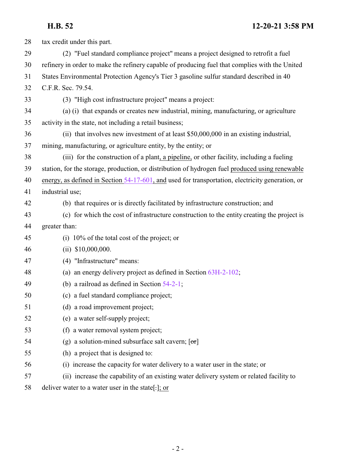## **H.B. 52 12-20-21 3:58 PM**

| 28 | tax credit under this part.                                                                      |
|----|--------------------------------------------------------------------------------------------------|
| 29 | (2) "Fuel standard compliance project" means a project designed to retrofit a fuel               |
| 30 | refinery in order to make the refinery capable of producing fuel that complies with the United   |
| 31 | States Environmental Protection Agency's Tier 3 gasoline sulfur standard described in 40         |
| 32 | C.F.R. Sec. 79.54.                                                                               |
| 33 | (3) "High cost infrastructure project" means a project:                                          |
| 34 | (a) (i) that expands or creates new industrial, mining, manufacturing, or agriculture            |
| 35 | activity in the state, not including a retail business;                                          |
| 36 | (ii) that involves new investment of at least \$50,000,000 in an existing industrial,            |
| 37 | mining, manufacturing, or agriculture entity, by the entity; or                                  |
| 38 | (iii) for the construction of a plant, a pipeline, or other facility, including a fueling        |
| 39 | station, for the storage, production, or distribution of hydrogen fuel produced using renewable  |
| 40 | energy, as defined in Section 54-17-601, and used for transportation, electricity generation, or |
| 41 | industrial use;                                                                                  |
| 42 | (b) that requires or is directly facilitated by infrastructure construction; and                 |
| 43 | (c) for which the cost of infrastructure construction to the entity creating the project is      |
| 44 | greater than:                                                                                    |
| 45 | (i) $10\%$ of the total cost of the project; or                                                  |
| 46 | $(ii)$ \$10,000,000.                                                                             |
| 47 | (4) "Infrastructure" means:                                                                      |
| 48 | (a) an energy delivery project as defined in Section $63H-2-102$ ;                               |
| 49 | (b) a railroad as defined in Section $54-2-1$ ;                                                  |
| 50 | (c) a fuel standard compliance project;                                                          |
| 51 | (d) a road improvement project;                                                                  |
| 52 | (e) a water self-supply project;                                                                 |
| 53 | (f) a water removal system project;                                                              |
| 54 | (g) a solution-mined subsurface salt cavern; $\lceil \sigma r \rceil$                            |
| 55 | (h) a project that is designed to:                                                               |
| 56 | (i) increase the capacity for water delivery to a water user in the state; or                    |
| 57 | (ii) increase the capability of an existing water delivery system or related facility to         |
| 58 | deliver water to a water user in the state[-]; or                                                |